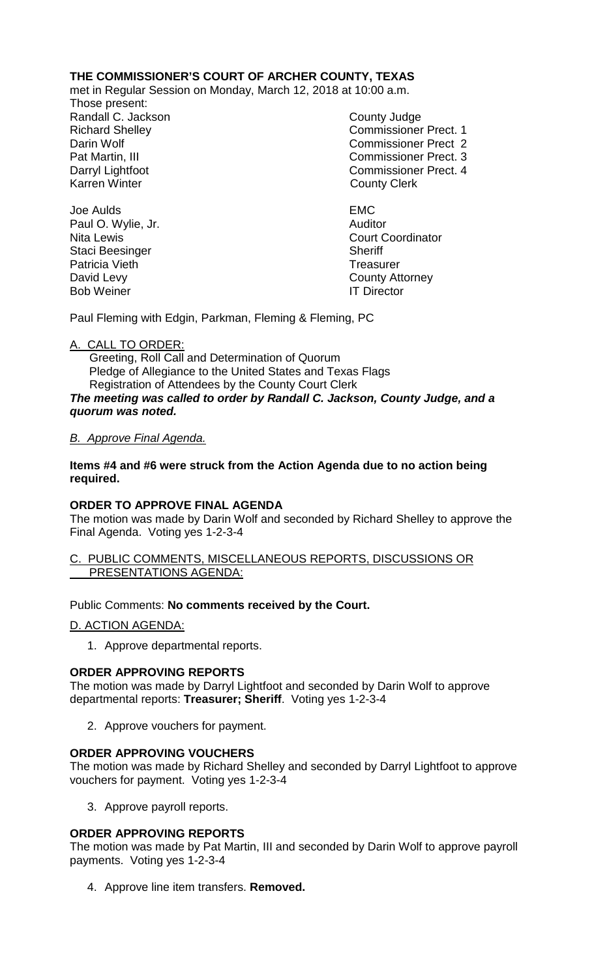# **THE COMMISSIONER'S COURT OF ARCHER COUNTY, TEXAS**

met in Regular Session on Monday, March 12, 2018 at 10:00 a.m.

Those present: Randall C. Jackson County Judge

Richard Shelley **Commissioner Prect. 1** Darin Wolf Commissioner Prect 2 Pat Martin, III Commissioner Prect. 3 Darryl Lightfoot **Commissioner Prect. 4**<br>
Karren Winter **County County Clerk County Clerk** 

Joe Aulds EMC Paul O. Wylie, Jr. **Auditor** Auditor Nita Lewis Court Coordinator Staci Beesinger Sheriff Patricia Vieth **Treasurer** Treasurer David Levy **County Attorney** Bob Weiner **IT Director** 

Paul Fleming with Edgin, Parkman, Fleming & Fleming, PC

## A. CALL TO ORDER:

 Greeting, Roll Call and Determination of Quorum Pledge of Allegiance to the United States and Texas Flags Registration of Attendees by the County Court Clerk *The meeting was called to order by Randall C. Jackson, County Judge, and a quorum was noted.*

## *B. Approve Final Agenda.*

**Items #4 and #6 were struck from the Action Agenda due to no action being required.**

# **ORDER TO APPROVE FINAL AGENDA**

The motion was made by Darin Wolf and seconded by Richard Shelley to approve the Final Agenda. Voting yes 1-2-3-4

#### C. PUBLIC COMMENTS, MISCELLANEOUS REPORTS, DISCUSSIONS OR PRESENTATIONS AGENDA:

#### Public Comments: **No comments received by the Court.**

D. ACTION AGENDA:

1. Approve departmental reports.

#### **ORDER APPROVING REPORTS**

The motion was made by Darryl Lightfoot and seconded by Darin Wolf to approve departmental reports: **Treasurer; Sheriff**. Voting yes 1-2-3-4

2. Approve vouchers for payment.

#### **ORDER APPROVING VOUCHERS**

The motion was made by Richard Shelley and seconded by Darryl Lightfoot to approve vouchers for payment. Voting yes 1-2-3-4

3. Approve payroll reports.

## **ORDER APPROVING REPORTS**

The motion was made by Pat Martin, III and seconded by Darin Wolf to approve payroll payments. Voting yes 1-2-3-4

4. Approve line item transfers. **Removed.**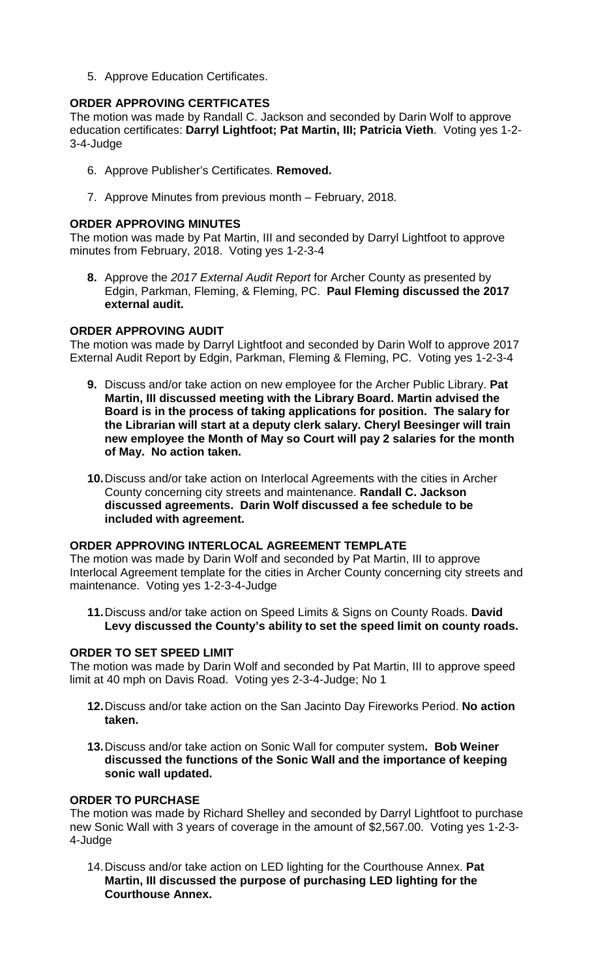5. Approve Education Certificates.

## **ORDER APPROVING CERTFICATES**

The motion was made by Randall C. Jackson and seconded by Darin Wolf to approve education certificates: **Darryl Lightfoot; Pat Martin, III; Patricia Vieth**. Voting yes 1-2- 3-4-Judge

- 6. Approve Publisher's Certificates. **Removed.**
- 7. Approve Minutes from previous month February, 2018.

## **ORDER APPROVING MINUTES**

The motion was made by Pat Martin, III and seconded by Darryl Lightfoot to approve minutes from February, 2018. Voting yes 1-2-3-4

**8.** Approve the *2017 External Audit Report* for Archer County as presented by Edgin, Parkman, Fleming, & Fleming, PC. **Paul Fleming discussed the 2017 external audit.**

## **ORDER APPROVING AUDIT**

The motion was made by Darryl Lightfoot and seconded by Darin Wolf to approve 2017 External Audit Report by Edgin, Parkman, Fleming & Fleming, PC. Voting yes 1-2-3-4

- **9.** Discuss and/or take action on new employee for the Archer Public Library. **Pat Martin, III discussed meeting with the Library Board. Martin advised the Board is in the process of taking applications for position. The salary for the Librarian will start at a deputy clerk salary. Cheryl Beesinger will train new employee the Month of May so Court will pay 2 salaries for the month of May. No action taken.**
- **10.**Discuss and/or take action on Interlocal Agreements with the cities in Archer County concerning city streets and maintenance. **Randall C. Jackson discussed agreements. Darin Wolf discussed a fee schedule to be included with agreement.**

#### **ORDER APPROVING INTERLOCAL AGREEMENT TEMPLATE**

The motion was made by Darin Wolf and seconded by Pat Martin, III to approve Interlocal Agreement template for the cities in Archer County concerning city streets and maintenance. Voting yes 1-2-3-4-Judge

**11.**Discuss and/or take action on Speed Limits & Signs on County Roads. **David Levy discussed the County's ability to set the speed limit on county roads.**

#### **ORDER TO SET SPEED LIMIT**

The motion was made by Darin Wolf and seconded by Pat Martin, III to approve speed limit at 40 mph on Davis Road. Voting yes 2-3-4-Judge; No 1

- **12.**Discuss and/or take action on the San Jacinto Day Fireworks Period. **No action taken.**
- **13.**Discuss and/or take action on Sonic Wall for computer system**. Bob Weiner discussed the functions of the Sonic Wall and the importance of keeping sonic wall updated.**

## **ORDER TO PURCHASE**

The motion was made by Richard Shelley and seconded by Darryl Lightfoot to purchase new Sonic Wall with 3 years of coverage in the amount of \$2,567.00. Voting yes 1-2-3- 4-Judge

14.Discuss and/or take action on LED lighting for the Courthouse Annex. **Pat Martin, III discussed the purpose of purchasing LED lighting for the Courthouse Annex.**